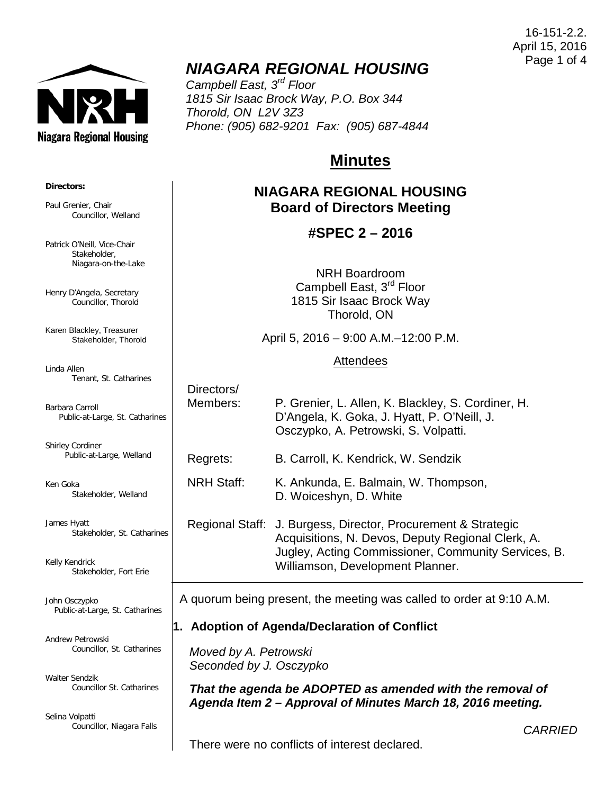Niagara Regional Housing

## *NIAGARA REGIONAL HOUSING*

*Campbell East, 3rd Floor 1815 Sir Isaac Brock Way, P.O. Box 344 Thorold, ON L2V 3Z3 Phone: (905) 682-9201 Fax: (905) 687-4844*

# **Minutes**

## **NIAGARA REGIONAL HOUSING Board of Directors Meeting**

## **#SPEC 2 – 2016**

NRH Boardroom Campbell East, 3<sup>rd</sup> Floor 1815 Sir Isaac Brock Way Thorold, ON

April 5, 2016 – 9:00 A.M.–12:00 P.M.

#### Attendees

Directors/ Members: P. Grenier, L. Allen, K. Blackley, S. Cordiner, H. D'Angela, K. Goka, J. Hyatt, P. O'Neill, J. Osczypko, A. Petrowski, S. Volpatti.

Regrets: B. Carroll, K. Kendrick, W. Sendzik

NRH Staff: K. Ankunda, E. Balmain, W. Thompson, D. Woiceshyn, D. White

Regional Staff: J. Burgess, Director, Procurement & Strategic Acquisitions, N. Devos, Deputy Regional Clerk, A. Jugley, Acting Commissioner, Community Services, B. Williamson, Development Planner.

A quorum being present, the meeting was called to order at 9:10 A.M.

## **1. Adoption of Agenda/Declaration of Conflict**

*Moved by A. Petrowski Seconded by J. Osczypko*

*That the agenda be ADOPTED as amended with the removal of Agenda Item 2 – Approval of Minutes March 18, 2016 meeting.*

There were no conflicts of interest declared.

**Directors:**

Paul Grenier, Chair Councillor, Welland

Patrick O'Neill, Vice-Chair Stakeholder, Niagara-on-the-Lake

Henry D'Angela, Secretary Councillor, Thorold

Karen Blackley, Treasurer Stakeholder, Thorold

Linda Allen Tenant, St. Catharines

Barbara Carroll Public-at-Large, St. Catharines

Shirley Cordiner Public-at-Large, Welland

Ken Goka Stakeholder, Welland

James Hyatt Stakeholder, St. Catharines

Kelly Kendrick Stakeholder, Fort Erie

John Osczypko Public-at-Large, St. Catharines

Andrew Petrowski Councillor, St. Catharines

Walter Sendzik Councillor St. Catharines

Selina Volpatti Councillor, Niagara Falls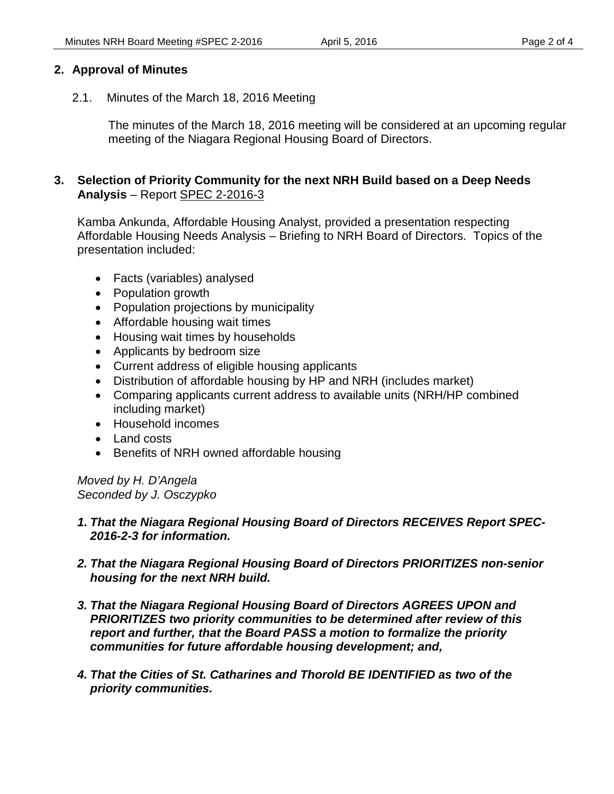#### **2. Approval of Minutes**

2.1. Minutes of the March 18, 2016 Meeting

The minutes of the March 18, 2016 meeting will be considered at an upcoming regular meeting of the Niagara Regional Housing Board of Directors.

#### **3. Selection of Priority Community for the next NRH Build based on a Deep Needs Analysis** – Report SPEC 2-2016-3

Kamba Ankunda, Affordable Housing Analyst, provided a presentation respecting Affordable Housing Needs Analysis – Briefing to NRH Board of Directors. Topics of the presentation included:

- Facts (variables) analysed
- Population growth
- Population projections by municipality
- Affordable housing wait times
- Housing wait times by households
- Applicants by bedroom size
- Current address of eligible housing applicants
- Distribution of affordable housing by HP and NRH (includes market)
- Comparing applicants current address to available units (NRH/HP combined including market)
- Household incomes
- Land costs
- Benefits of NRH owned affordable housing

*Moved by H. D'Angela Seconded by J. Osczypko*

#### *1. That the Niagara Regional Housing Board of Directors RECEIVES Report SPEC-2016-2-3 for information.*

- *2. That the Niagara Regional Housing Board of Directors PRIORITIZES non-senior housing for the next NRH build.*
- *3. That the Niagara Regional Housing Board of Directors AGREES UPON and PRIORITIZES two priority communities to be determined after review of this report and further, that the Board PASS a motion to formalize the priority communities for future affordable housing development; and,*
- *4. That the Cities of St. Catharines and Thorold BE IDENTIFIED as two of the priority communities.*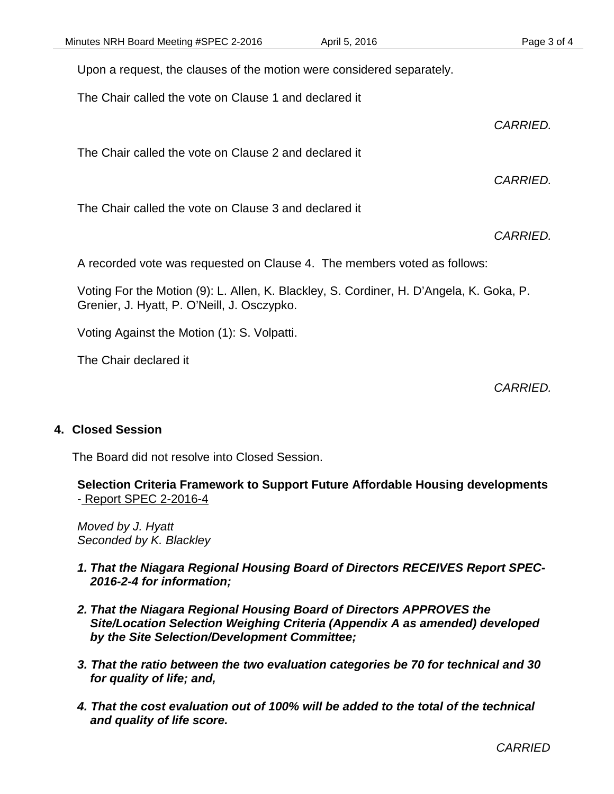Upon a request, the clauses of the motion were considered separately.

The Chair called the vote on Clause 1 and declared it

*CARRIED.*

*CARRIED.*

The Chair called the vote on Clause 2 and declared it

The Chair called the vote on Clause 3 and declared it

*CARRIED.*

A recorded vote was requested on Clause 4. The members voted as follows:

Voting For the Motion (9): L. Allen, K. Blackley, S. Cordiner, H. D'Angela, K. Goka, P. Grenier, J. Hyatt, P. O'Neill, J. Osczypko.

Voting Against the Motion (1): S. Volpatti.

The Chair declared it

*CARRIED.*

#### **4. Closed Session**

The Board did not resolve into Closed Session.

**Selection Criteria Framework to Support Future Affordable Housing developments**  - Report SPEC 2-2016-4

*Moved by J. Hyatt Seconded by K. Blackley*

- *1. That the Niagara Regional Housing Board of Directors RECEIVES Report SPEC-2016-2-4 for information;*
- *2. That the Niagara Regional Housing Board of Directors APPROVES the Site/Location Selection Weighing Criteria (Appendix A as amended) developed by the Site Selection/Development Committee;*
- *3. That the ratio between the two evaluation categories be 70 for technical and 30 for quality of life; and,*
- *4. That the cost evaluation out of 100% will be added to the total of the technical and quality of life score.*